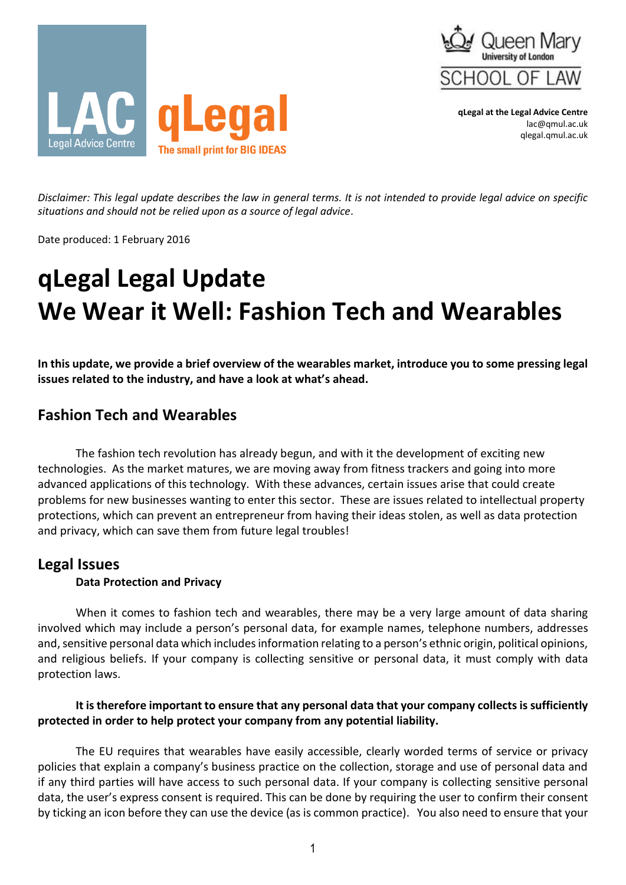



**qLegal at the Legal Advice Centre** lac@qmul.ac.uk qlegal.qmul.ac.uk

*Disclaimer: This legal update describes the law in general terms. It is not intended to provide legal advice on specific situations and should not be relied upon as a source of legal advice*.

Date produced: 1 February 2016

# **qLegal Legal Update We Wear it Well: Fashion Tech and Wearables**

**In this update, we provide a brief overview of the wearables market, introduce you to some pressing legal issues related to the industry, and have a look at what's ahead.**

## **Fashion Tech and Wearables**

The fashion tech revolution has already begun, and with it the development of exciting new technologies. As the market matures, we are moving away from fitness trackers and going into more advanced applications of this technology. With these advances, certain issues arise that could create problems for new businesses wanting to enter this sector. These are issues related to intellectual property protections, which can prevent an entrepreneur from having their ideas stolen, as well as data protection and privacy, which can save them from future legal troubles!

### **Legal Issues**

#### **Data Protection and Privacy**

When it comes to fashion tech and wearables, there may be a very large amount of data sharing involved which may include a person's personal data, for example names, telephone numbers, addresses and, sensitive personal data which includes information relating to a person's ethnic origin, political opinions, and religious beliefs. If your company is collecting sensitive or personal data, it must comply with data protection laws.

#### **It is therefore important to ensure that any personal data that your company collects is sufficiently protected in order to help protect your company from any potential liability.**

The EU requires that wearables have easily accessible, clearly worded terms of service or privacy policies that explain a company's business practice on the collection, storage and use of personal data and if any third parties will have access to such personal data. If your company is collecting sensitive personal data, the user's express consent is required. This can be done by requiring the user to confirm their consent by ticking an icon before they can use the device (as is common practice). You also need to ensure that your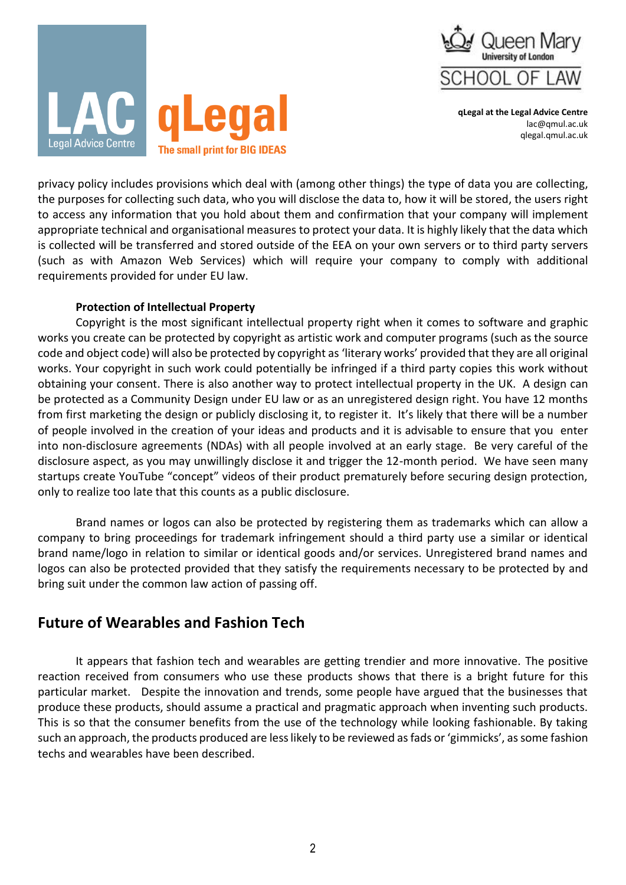

**qLegal at the Legal Advice Centre** lac@qmul.ac.uk qlegal.qmul.ac.uk



privacy policy includes provisions which deal with (among other things) the type of data you are collecting, the purposes for collecting such data, who you will disclose the data to, how it will be stored, the users right to access any information that you hold about them and confirmation that your company will implement appropriate technical and organisational measures to protect your data. It is highly likely that the data which is collected will be transferred and stored outside of the EEA on your own servers or to third party servers (such as with Amazon Web Services) which will require your company to comply with additional requirements provided for under EU law.

#### **Protection of Intellectual Property**

Copyright is the most significant intellectual property right when it comes to software and graphic works you create can be protected by copyright as artistic work and computer programs (such as the source code and object code) will also be protected by copyright as 'literary works' provided that they are all original works. Your copyright in such work could potentially be infringed if a third party copies this work without obtaining your consent. There is also another way to protect intellectual property in the UK. A design can be protected as a Community Design under EU law or as an unregistered design right. You have 12 months from first marketing the design or publicly disclosing it, to register it. It's likely that there will be a number of people involved in the creation of your ideas and products and it is advisable to ensure that you enter into non-disclosure agreements (NDAs) with all people involved at an early stage. Be very careful of the disclosure aspect, as you may unwillingly disclose it and trigger the 12-month period. We have seen many startups create YouTube "concept" videos of their product prematurely before securing design protection, only to realize too late that this counts as a public disclosure.

Brand names or logos can also be protected by registering them as trademarks which can allow a company to bring proceedings for trademark infringement should a third party use a similar or identical brand name/logo in relation to similar or identical goods and/or services. Unregistered brand names and logos can also be protected provided that they satisfy the requirements necessary to be protected by and bring suit under the common law action of passing off.

## **Future of Wearables and Fashion Tech**

It appears that fashion tech and wearables are getting trendier and more innovative. The positive reaction received from consumers who use these products shows that there is a bright future for this particular market. Despite the innovation and trends, some people have argued that the businesses that produce these products, should assume a practical and pragmatic approach when inventing such products. This is so that the consumer benefits from the use of the technology while looking fashionable. By taking such an approach, the products produced are less likely to be reviewed as fads or 'gimmicks', as some fashion techs and wearables have been described.